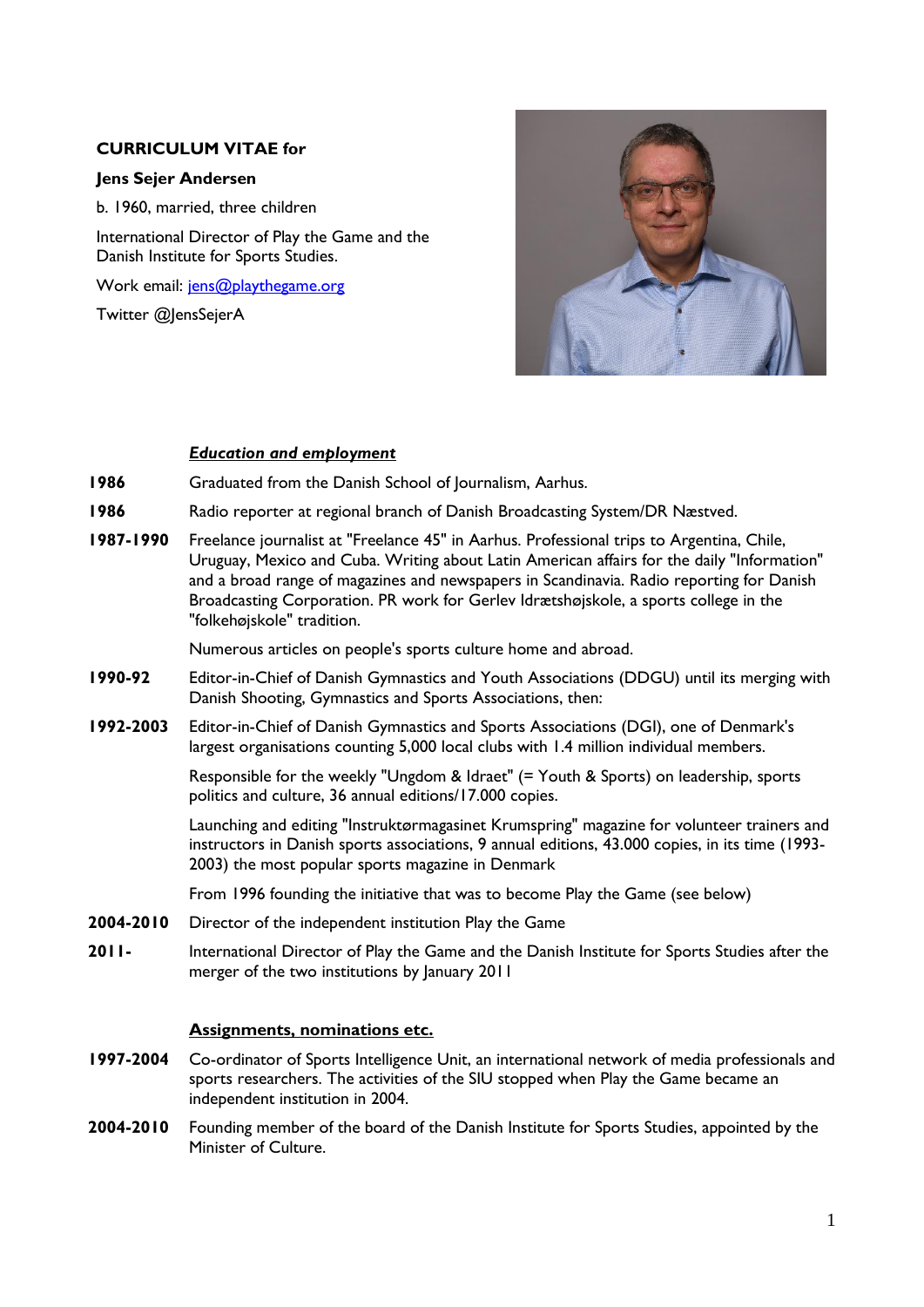## **CURRICULUM VITAE for**

### **Jens Sejer Andersen**

b. 1960, married, three children

International Director of Play the Game and the Danish Institute for Sports Studies.

Work email: [jens@playthegame.org](mailto:jens@playthegame.org)

Twitter @JensSejerA



### *Education and employment*

- **1986** Graduated from the Danish School of Journalism, Aarhus.
- **1986** Radio reporter at regional branch of Danish Broadcasting System/DR Næstved.
- **1987-1990** Freelance journalist at "Freelance 45" in Aarhus. Professional trips to Argentina, Chile, Uruguay, Mexico and Cuba. Writing about Latin American affairs for the daily "Information" and a broad range of magazines and newspapers in Scandinavia. Radio reporting for Danish Broadcasting Corporation. PR work for Gerlev Idrætshøjskole, a sports college in the "folkehøjskole" tradition.

Numerous articles on people's sports culture home and abroad.

- **1990-92** Editor-in-Chief of Danish Gymnastics and Youth Associations (DDGU) until its merging with Danish Shooting, Gymnastics and Sports Associations, then:
- **1992-2003** Editor-in-Chief of Danish Gymnastics and Sports Associations (DGI), one of Denmark's largest organisations counting 5,000 local clubs with 1.4 million individual members.

Responsible for the weekly "Ungdom & Idraet" (= Youth & Sports) on leadership, sports politics and culture, 36 annual editions/17.000 copies.

Launching and editing "Instruktørmagasinet Krumspring" magazine for volunteer trainers and instructors in Danish sports associations, 9 annual editions, 43.000 copies, in its time (1993- 2003) the most popular sports magazine in Denmark

From 1996 founding the initiative that was to become Play the Game (see below)

- **2004-2010** Director of the independent institution Play the Game
- **2011-** International Director of Play the Game and the Danish Institute for Sports Studies after the merger of the two institutions by January 2011

## **Assignments, nominations etc.**

- **1997-2004** Co-ordinator of Sports Intelligence Unit, an international network of media professionals and sports researchers. The activities of the SIU stopped when Play the Game became an independent institution in 2004.
- **2004-2010** Founding member of the board of the Danish Institute for Sports Studies, appointed by the Minister of Culture.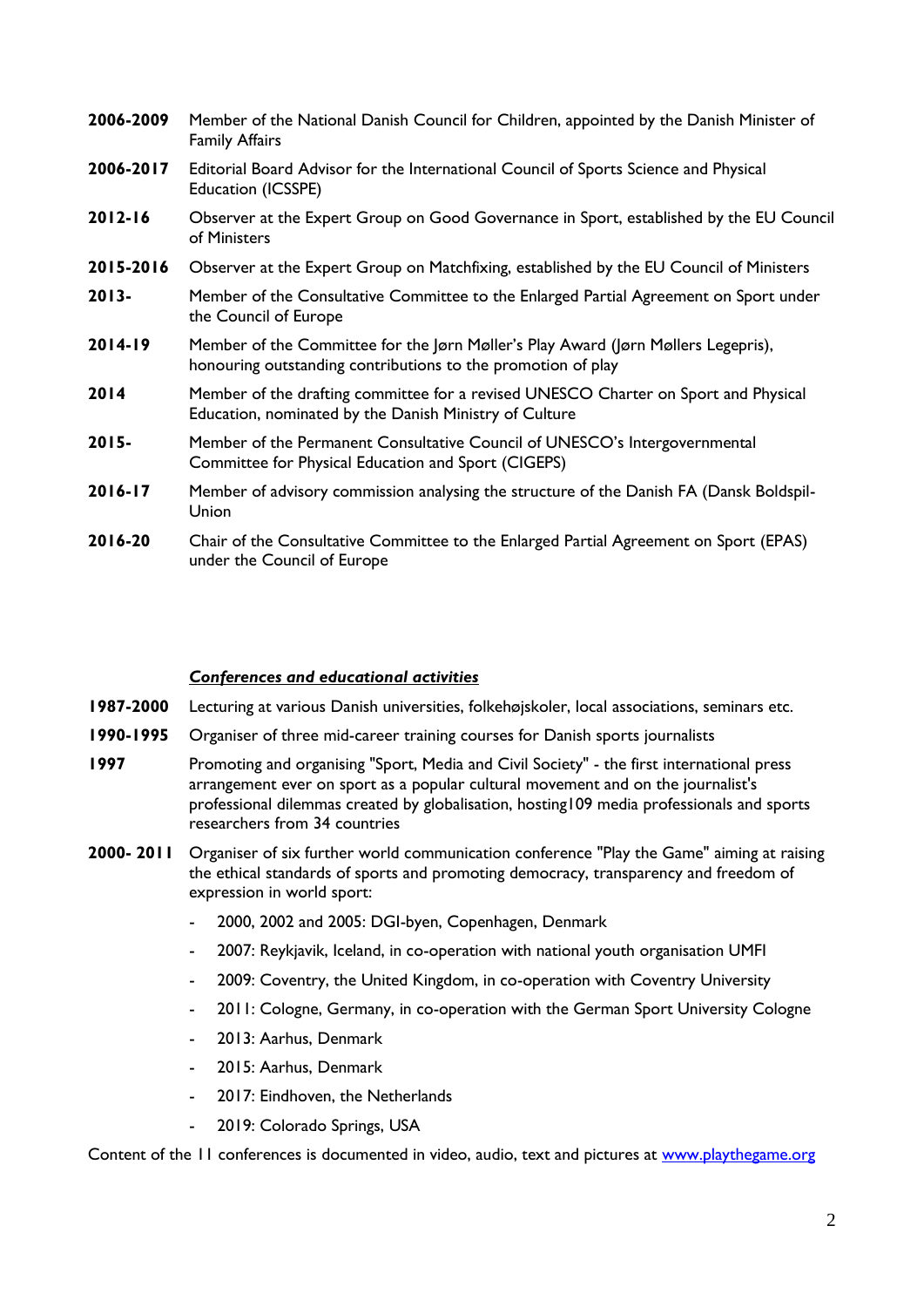| 2006-2009   | Member of the National Danish Council for Children, appointed by the Danish Minister of<br><b>Family Affairs</b>                                  |
|-------------|---------------------------------------------------------------------------------------------------------------------------------------------------|
| 2006-2017   | Editorial Board Advisor for the International Council of Sports Science and Physical<br>Education (ICSSPE)                                        |
| $2012 - 16$ | Observer at the Expert Group on Good Governance in Sport, established by the EU Council<br>of Ministers                                           |
| 2015-2016   | Observer at the Expert Group on Matchfixing, established by the EU Council of Ministers                                                           |
| $2013 -$    | Member of the Consultative Committee to the Enlarged Partial Agreement on Sport under<br>the Council of Europe                                    |
| $2014-19$   | Member of the Committee for the Jørn Møller's Play Award (Jørn Møllers Legepris),<br>honouring outstanding contributions to the promotion of play |
| 2014        | Member of the drafting committee for a revised UNESCO Charter on Sport and Physical<br>Education, nominated by the Danish Ministry of Culture     |
| $2015 -$    | Member of the Permanent Consultative Council of UNESCO's Intergovernmental<br>Committee for Physical Education and Sport (CIGEPS)                 |
| 2016-17     | Member of advisory commission analysing the structure of the Danish FA (Dansk Boldspil-<br>Union                                                  |
| 2016-20     | Chair of the Consultative Committee to the Enlarged Partial Agreement on Sport (EPAS)<br>under the Council of Europe                              |

## *Conferences and educational activities*

- **1987-2000** Lecturing at various Danish universities, folkehøjskoler, local associations, seminars etc.
- **1990-1995** Organiser of three mid-career training courses for Danish sports journalists
- **1997** Promoting and organising "Sport, Media and Civil Society" the first international press arrangement ever on sport as a popular cultural movement and on the journalist's professional dilemmas created by globalisation, hosting109 media professionals and sports researchers from 34 countries
- **2000- 2011** Organiser of six further world communication conference "Play the Game" aiming at raising the ethical standards of sports and promoting democracy, transparency and freedom of expression in world sport:
	- 2000, 2002 and 2005: DGI-byen, Copenhagen, Denmark
	- 2007: Reykjavik, Iceland, in co-operation with national youth organisation UMFI
	- 2009: Coventry, the United Kingdom, in co-operation with Coventry University
	- 2011: Cologne, Germany, in co-operation with the German Sport University Cologne
	- 2013: Aarhus, Denmark
	- 2015: Aarhus, Denmark
	- 2017: Eindhoven, the Netherlands
	- 2019: Colorado Springs, USA

Content of the 11 conferences is documented in video, audio, text and pictures at [www.playthegame.org](http://www.playthegame.org/)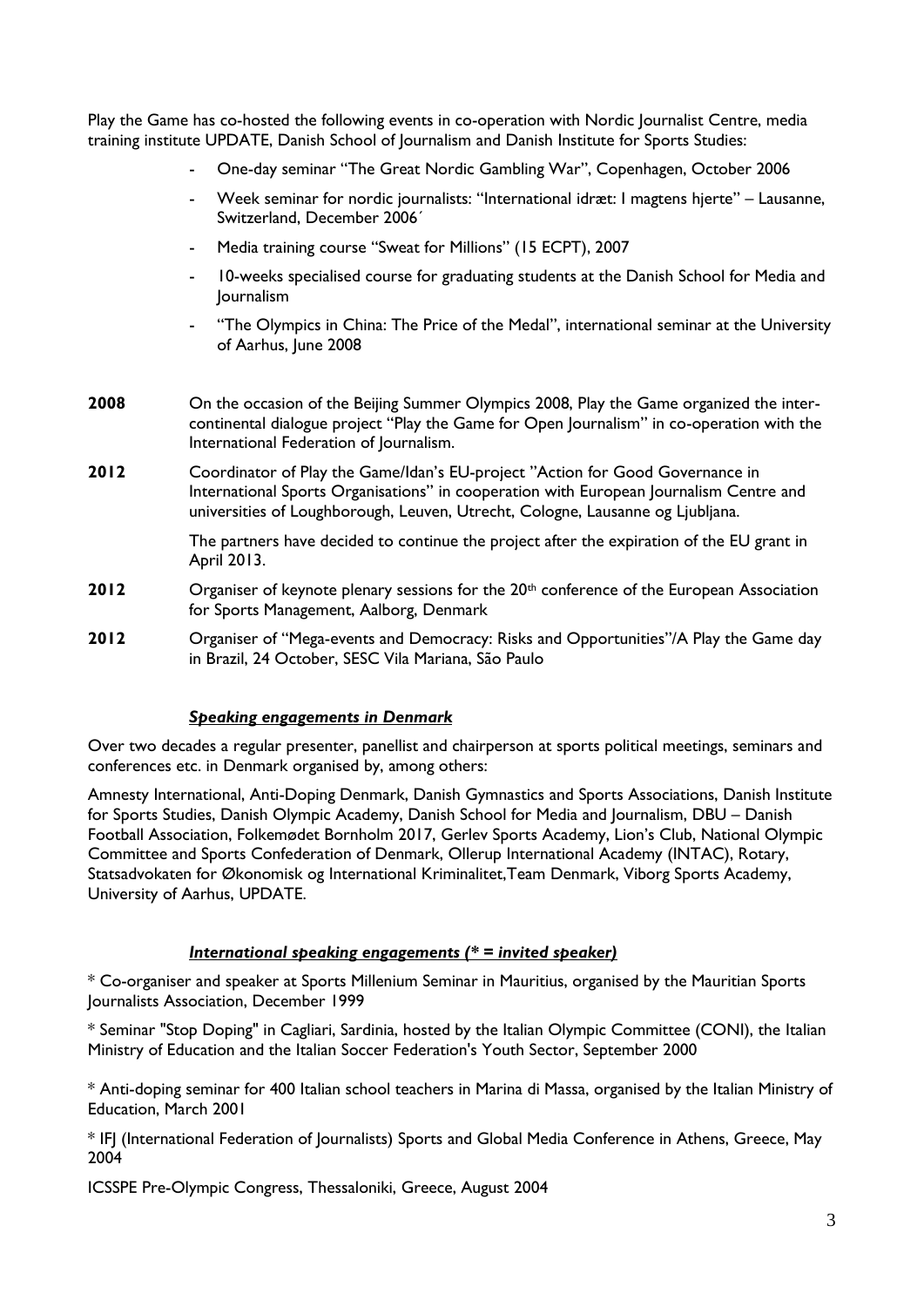Play the Game has co-hosted the following events in co-operation with Nordic Journalist Centre, media training institute UPDATE, Danish School of Journalism and Danish Institute for Sports Studies:

- One-day seminar "The Great Nordic Gambling War", Copenhagen, October 2006
- Week seminar for nordic journalists: "International idræt: I magtens hjerte" Lausanne, Switzerland, December 2006´
- Media training course "Sweat for Millions" (15 ECPT), 2007
- 10-weeks specialised course for graduating students at the Danish School for Media and Journalism
- "The Olympics in China: The Price of the Medal", international seminar at the University of Aarhus, June 2008
- **2008** On the occasion of the Beijing Summer Olympics 2008, Play the Game organized the intercontinental dialogue project "Play the Game for Open Journalism" in co-operation with the International Federation of Journalism.
- **2012** Coordinator of Play the Game/Idan's EU-project "Action for Good Governance in International Sports Organisations" in cooperation with European Journalism Centre and universities of Loughborough, Leuven, Utrecht, Cologne, Lausanne og Ljubljana.

The partners have decided to continue the project after the expiration of the EU grant in April 2013.

- 2012 Organiser of keynote plenary sessions for the 20<sup>th</sup> conference of the European Association for Sports Management, Aalborg, Denmark
- **2012** Organiser of "Mega-events and Democracy: Risks and Opportunities"/A Play the Game day in Brazil, 24 October, SESC Vila Mariana, São Paulo

#### *Speaking engagements in Denmark*

Over two decades a regular presenter, panellist and chairperson at sports political meetings, seminars and conferences etc. in Denmark organised by, among others:

Amnesty International, Anti-Doping Denmark, Danish Gymnastics and Sports Associations, Danish Institute for Sports Studies, Danish Olympic Academy, Danish School for Media and Journalism, DBU – Danish Football Association, Folkemødet Bornholm 2017, Gerlev Sports Academy, Lion's Club, National Olympic Committee and Sports Confederation of Denmark, Ollerup International Academy (INTAC), Rotary, Statsadvokaten for Økonomisk og International Kriminalitet,Team Denmark, Viborg Sports Academy, University of Aarhus, UPDATE.

### *International speaking engagements (\* = invited speaker)*

\* Co-organiser and speaker at Sports Millenium Seminar in Mauritius, organised by the Mauritian Sports Journalists Association, December 1999

\* Seminar "Stop Doping" in Cagliari, Sardinia, hosted by the Italian Olympic Committee (CONI), the Italian Ministry of Education and the Italian Soccer Federation's Youth Sector, September 2000

\* Anti-doping seminar for 400 Italian school teachers in Marina di Massa, organised by the Italian Ministry of Education, March 2001

\* IFJ (International Federation of Journalists) Sports and Global Media Conference in Athens, Greece, May 2004

ICSSPE Pre-Olympic Congress, Thessaloniki, Greece, August 2004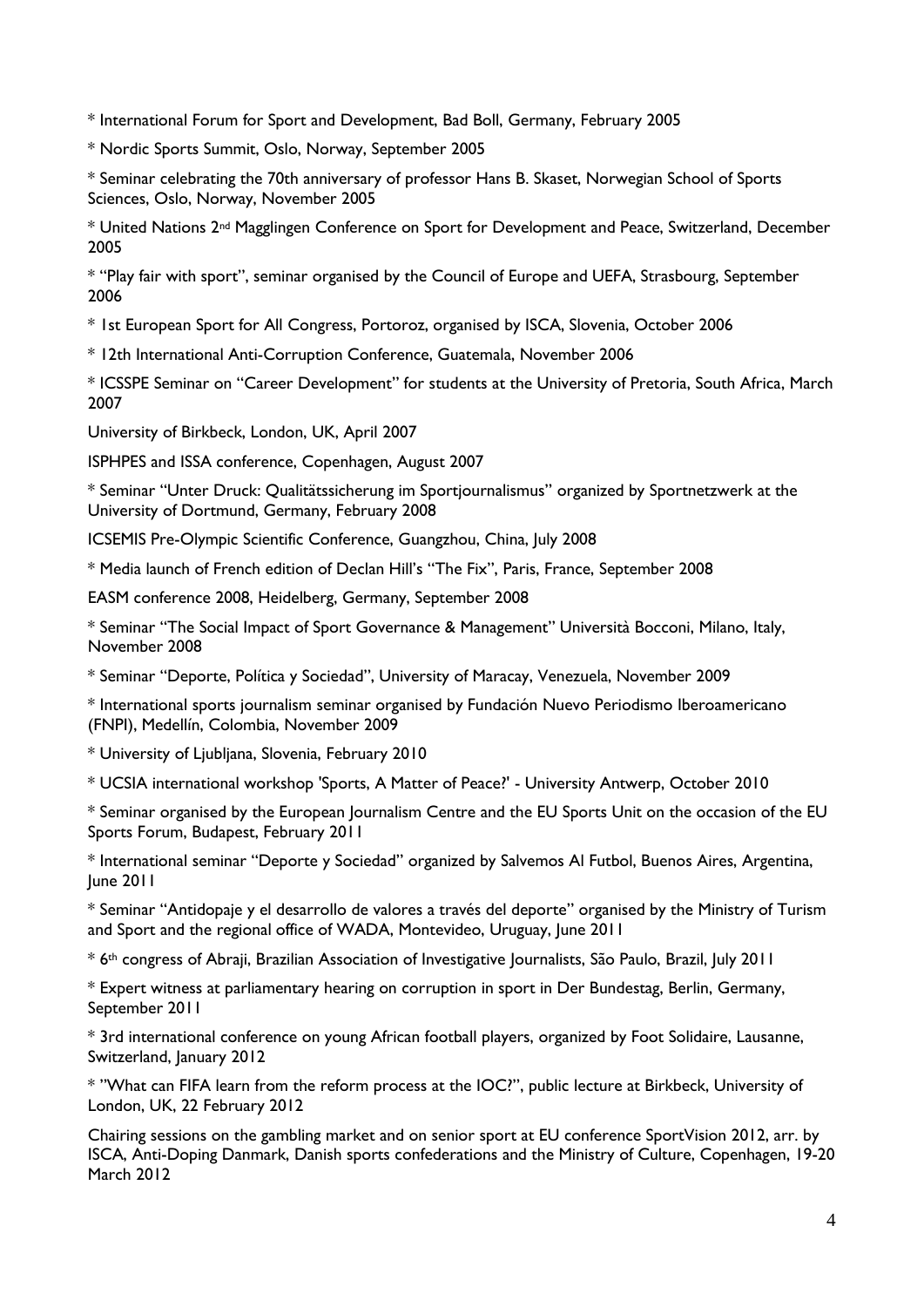\* International Forum for Sport and Development, Bad Boll, Germany, February 2005

\* Nordic Sports Summit, Oslo, Norway, September 2005

\* Seminar celebrating the 70th anniversary of professor Hans B. Skaset, Norwegian School of Sports Sciences, Oslo, Norway, November 2005

\* United Nations 2nd Magglingen Conference on Sport for Development and Peace, Switzerland, December 2005

\* "Play fair with sport", seminar organised by the Council of Europe and UEFA, Strasbourg, September 2006

\* 1st European Sport for All Congress, Portoroz, organised by ISCA, Slovenia, October 2006

\* 12th International Anti-Corruption Conference, Guatemala, November 2006

\* ICSSPE Seminar on "Career Development" for students at the University of Pretoria, South Africa, March 2007

University of Birkbeck, London, UK, April 2007

ISPHPES and ISSA conference, Copenhagen, August 2007

\* Seminar "Unter Druck: Qualitätssicherung im Sportjournalismus" organized by Sportnetzwerk at the University of Dortmund, Germany, February 2008

ICSEMIS Pre-Olympic Scientific Conference, Guangzhou, China, July 2008

\* Media launch of French edition of Declan Hill's "The Fix", Paris, France, September 2008

EASM conference 2008, Heidelberg, Germany, September 2008

\* Seminar "The Social Impact of Sport Governance & Management" Università Bocconi, Milano, Italy, November 2008

\* Seminar "Deporte, Política y Sociedad", University of Maracay, Venezuela, November 2009

\* International sports journalism seminar organised by Fundación Nuevo Periodismo Iberoamericano (FNPI), Medellín, Colombia, November 2009

\* University of Ljubljana, Slovenia, February 2010

\* UCSIA international workshop 'Sports, A Matter of Peace?' - University Antwerp, October 2010

\* Seminar organised by the European Journalism Centre and the EU Sports Unit on the occasion of the EU Sports Forum, Budapest, February 2011

\* International seminar "Deporte y Sociedad" organized by Salvemos Al Futbol, Buenos Aires, Argentina, June 2011

\* Seminar "Antidopaje y el desarrollo de valores a través del deporte" organised by the Ministry of Turism and Sport and the regional office of WADA, Montevideo, Uruguay, June 2011

\* 6th congress of Abraji, Brazilian Association of Investigative Journalists, São Paulo, Brazil, July 2011

\* Expert witness at parliamentary hearing on corruption in sport in Der Bundestag, Berlin, Germany, September 2011

\* 3rd international conference on young African football players, organized by Foot Solidaire, Lausanne, Switzerland, January 2012

\* "What can FIFA learn from the reform process at the IOC?", public lecture at Birkbeck, University of London, UK, 22 February 2012

Chairing sessions on the gambling market and on senior sport at EU conference SportVision 2012, arr. by ISCA, Anti-Doping Danmark, Danish sports confederations and the Ministry of Culture, Copenhagen, 19-20 March 2012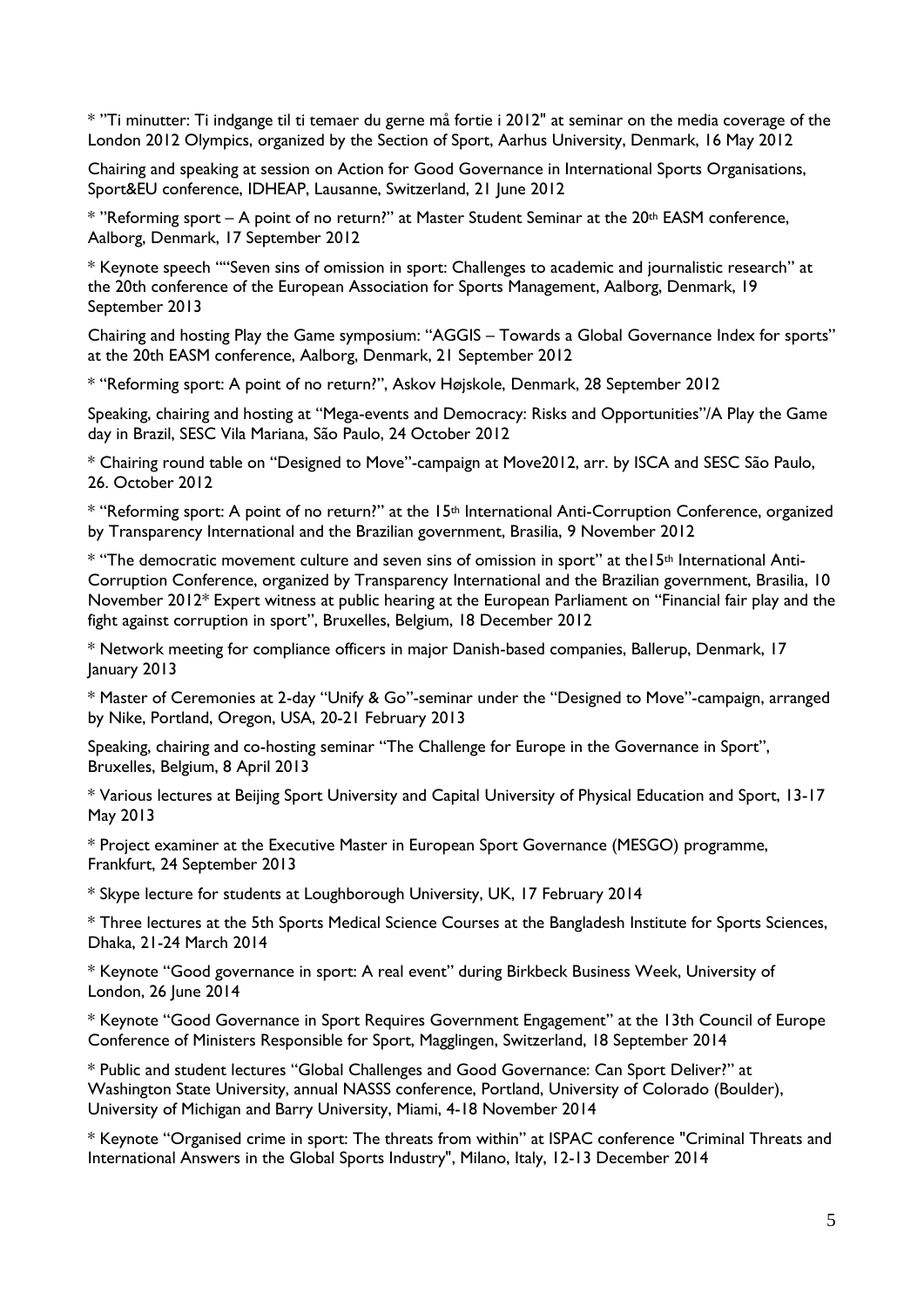\* "Ti minutter: Ti indgange til ti temaer du gerne må fortie i 2012" at seminar on the media coverage of the London 2012 Olympics, organized by the Section of Sport, Aarhus University, Denmark, 16 May 2012

Chairing and speaking at session on Action for Good Governance in International Sports Organisations, Sport&EU conference, IDHEAP, Lausanne, Switzerland, 21 June 2012

\* "Reforming sport – A point of no return?" at Master Student Seminar at the 20th EASM conference, Aalborg, Denmark, 17 September 2012

\* Keynote speech ""Seven sins of omission in sport: Challenges to academic and journalistic research" at the 20th conference of the European Association for Sports Management, Aalborg, Denmark, 19 September 2013

Chairing and hosting Play the Game symposium: "AGGIS – Towards a Global Governance Index for sports" at the 20th EASM conference, Aalborg, Denmark, 21 September 2012

\* "Reforming sport: A point of no return?", Askov Højskole, Denmark, 28 September 2012

Speaking, chairing and hosting at "Mega-events and Democracy: Risks and Opportunities"/A Play the Game day in Brazil, SESC Vila Mariana, São Paulo, 24 October 2012

\* Chairing round table on "Designed to Move"-campaign at Move2012, arr. by ISCA and SESC São Paulo, 26. October 2012

\* "Reforming sport: A point of no return?" at the 15<sup>th</sup> International Anti-Corruption Conference, organized by Transparency International and the Brazilian government, Brasilia, 9 November 2012

\* "The democratic movement culture and seven sins of omission in sport" at the15th International Anti-Corruption Conference, organized by Transparency International and the Brazilian government, Brasilia, 10 November 2012\* Expert witness at public hearing at the European Parliament on "Financial fair play and the fight against corruption in sport", Bruxelles, Belgium, 18 December 2012

\* Network meeting for compliance officers in major Danish-based companies, Ballerup, Denmark, 17 January 2013

\* Master of Ceremonies at 2-day "Unify & Go"-seminar under the "Designed to Move"-campaign, arranged by Nike, Portland, Oregon, USA, 20-21 February 2013

Speaking, chairing and co-hosting seminar "The Challenge for Europe in the Governance in Sport", Bruxelles, Belgium, 8 April 2013

\* Various lectures at Beijing Sport University and Capital University of Physical Education and Sport, 13-17 May 2013

\* Project examiner at the Executive Master in European Sport Governance (MESGO) programme, Frankfurt, 24 September 2013

\* Skype lecture for students at Loughborough University, UK, 17 February 2014

\* Three lectures at the 5th Sports Medical Science Courses at the Bangladesh Institute for Sports Sciences, Dhaka, 21-24 March 2014

\* Keynote "Good governance in sport: A real event" during Birkbeck Business Week, University of London, 26 June 2014

\* Keynote "Good Governance in Sport Requires Government Engagement" at the 13th Council of Europe Conference of Ministers Responsible for Sport, Magglingen, Switzerland, 18 September 2014

\* Public and student lectures "Global Challenges and Good Governance: Can Sport Deliver?" at Washington State University, annual NASSS conference, Portland, University of Colorado (Boulder), University of Michigan and Barry University, Miami, 4-18 November 2014

\* Keynote "Organised crime in sport: The threats from within" at ISPAC conference "Criminal Threats and International Answers in the Global Sports Industry", Milano, Italy, 12-13 December 2014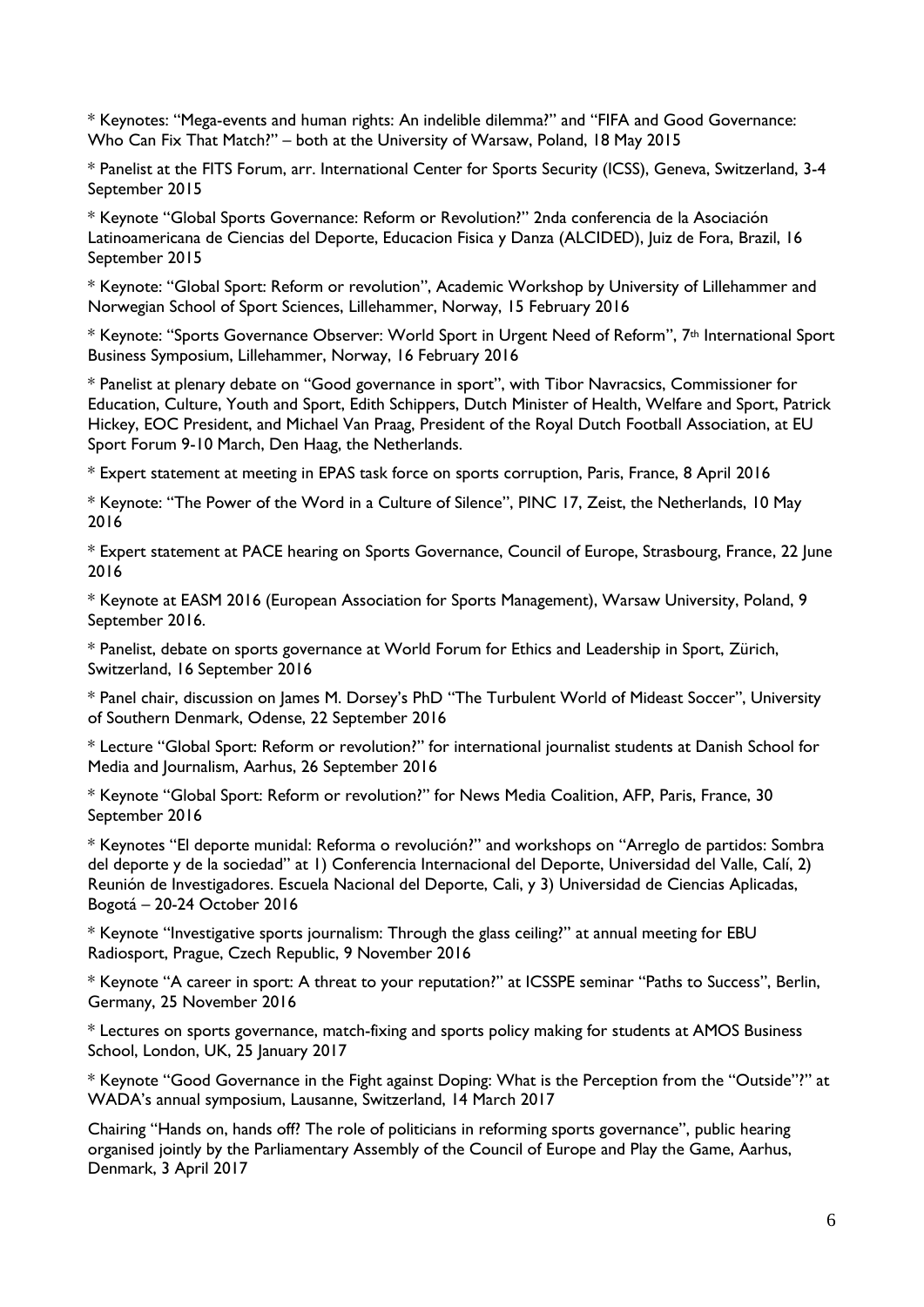\* Keynotes: "Mega-events and human rights: An indelible dilemma?" and "FIFA and Good Governance: Who Can Fix That Match?" – both at the University of Warsaw, Poland, 18 May 2015

\* Panelist at the FITS Forum, arr. International Center for Sports Security (ICSS), Geneva, Switzerland, 3-4 September 2015

\* Keynote "Global Sports Governance: Reform or Revolution?" 2nda conferencia de la Asociación Latinoamericana de Ciencias del Deporte, Educacion Fisica y Danza (ALCIDED), Juiz de Fora, Brazil, 16 September 2015

\* Keynote: "Global Sport: Reform or revolution", Academic Workshop by University of Lillehammer and Norwegian School of Sport Sciences, Lillehammer, Norway, 15 February 2016

\* Keynote: "Sports Governance Observer: World Sport in Urgent Need of Reform", 7th International Sport Business Symposium, Lillehammer, Norway, 16 February 2016

\* Panelist at plenary debate on "Good governance in sport", with Tibor Navracsics, Commissioner for Education, Culture, Youth and Sport, Edith Schippers, Dutch Minister of Health, Welfare and Sport, Patrick Hickey, EOC President, and Michael Van Praag, President of the Royal Dutch Football Association, at EU Sport Forum 9-10 March, Den Haag, the Netherlands.

\* Expert statement at meeting in EPAS task force on sports corruption, Paris, France, 8 April 2016

\* Keynote: "The Power of the Word in a Culture of Silence", PINC 17, Zeist, the Netherlands, 10 May 2016

\* Expert statement at PACE hearing on Sports Governance, Council of Europe, Strasbourg, France, 22 June 2016

\* Keynote at EASM 2016 (European Association for Sports Management), Warsaw University, Poland, 9 September 2016.

\* Panelist, debate on sports governance at World Forum for Ethics and Leadership in Sport, Zürich, Switzerland, 16 September 2016

\* Panel chair, discussion on James M. Dorsey's PhD "The Turbulent World of Mideast Soccer", University of Southern Denmark, Odense, 22 September 2016

\* Lecture "Global Sport: Reform or revolution?" for international journalist students at Danish School for Media and Journalism, Aarhus, 26 September 2016

\* Keynote "Global Sport: Reform or revolution?" for News Media Coalition, AFP, Paris, France, 30 September 2016

\* Keynotes "El deporte munidal: Reforma o revolución?" and workshops on "Arreglo de partidos: Sombra del deporte y de la sociedad" at 1) Conferencia Internacional del Deporte, Universidad del Valle, Calí, 2) Reunión de Investigadores. Escuela Nacional del Deporte, Cali, y 3) Universidad de Ciencias Aplicadas, Bogotá – 20-24 October 2016

\* Keynote "Investigative sports journalism: Through the glass ceiling?" at annual meeting for EBU Radiosport, Prague, Czech Republic, 9 November 2016

\* Keynote "A career in sport: A threat to your reputation?" at ICSSPE seminar "Paths to Success", Berlin, Germany, 25 November 2016

\* Lectures on sports governance, match-fixing and sports policy making for students at AMOS Business School, London, UK, 25 January 2017

\* Keynote "Good Governance in the Fight against Doping: What is the Perception from the "Outside"?" at WADA's annual symposium, Lausanne, Switzerland, 14 March 2017

Chairing "Hands on, hands off? The role of politicians in reforming sports governance", public hearing organised jointly by the Parliamentary Assembly of the Council of Europe and Play the Game, Aarhus, Denmark, 3 April 2017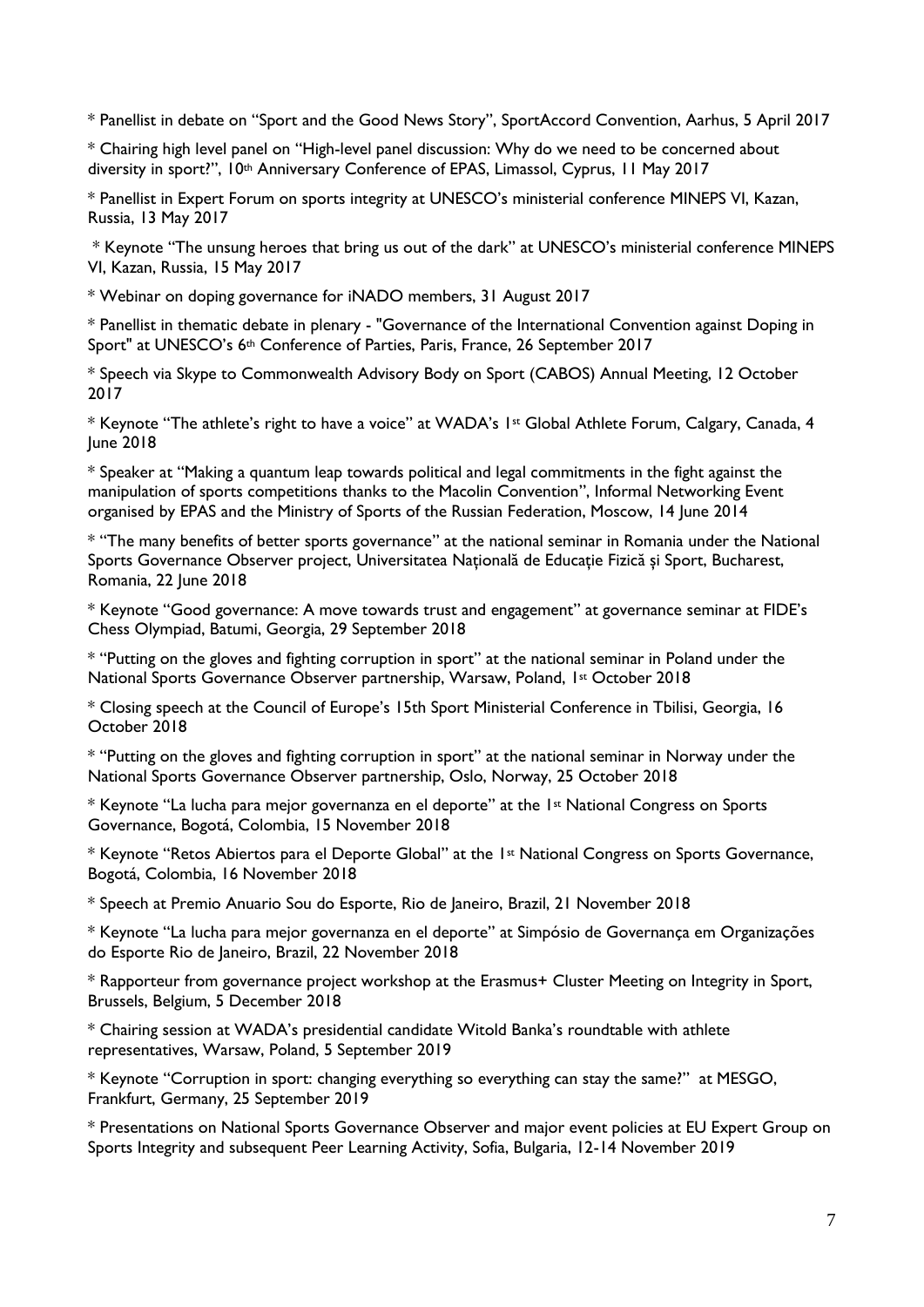\* Panellist in debate on "Sport and the Good News Story", SportAccord Convention, Aarhus, 5 April 2017

\* Chairing high level panel on "High-level panel discussion: Why do we need to be concerned about diversity in sport?", 10th Anniversary Conference of EPAS, Limassol, Cyprus, 11 May 2017

\* Panellist in Expert Forum on sports integrity at UNESCO's ministerial conference MINEPS VI, Kazan, Russia, 13 May 2017

\* Keynote "The unsung heroes that bring us out of the dark" at UNESCO's ministerial conference MINEPS VI, Kazan, Russia, 15 May 2017

\* Webinar on doping governance for iNADO members, 31 August 2017

\* Panellist in thematic debate in plenary - "Governance of the International Convention against Doping in Sport" at UNESCO's 6th Conference of Parties, Paris, France, 26 September 2017

\* Speech via Skype to Commonwealth Advisory Body on Sport (CABOS) Annual Meeting, 12 October 2017

\* Keynote "The athlete's right to have a voice" at WADA's 1st Global Athlete Forum, Calgary, Canada, 4 June 2018

\* Speaker at "Making a quantum leap towards political and legal commitments in the fight against the manipulation of sports competitions thanks to the Macolin Convention", Informal Networking Event organised by EPAS and the Ministry of Sports of the Russian Federation, Moscow, 14 June 2014

\* "The many benefits of better sports governance" at the national seminar in Romania under the National Sports Governance Observer project, Universitatea Naţională de Educaţie Fizică şi Sport, Bucharest, Romania, 22 June 2018

\* Keynote "Good governance: A move towards trust and engagement" at governance seminar at FIDE's Chess Olympiad, Batumi, Georgia, 29 September 2018

\* "Putting on the gloves and fighting corruption in sport" at the national seminar in Poland under the National Sports Governance Observer partnership, Warsaw, Poland, 1st October 2018

\* Closing speech at the Council of Europe's 15th Sport Ministerial Conference in Tbilisi, Georgia, 16 October 2018

\* "Putting on the gloves and fighting corruption in sport" at the national seminar in Norway under the National Sports Governance Observer partnership, Oslo, Norway, 25 October 2018

\* Keynote "La lucha para mejor governanza en el deporte" at the 1st National Congress on Sports Governance, Bogotá, Colombia, 15 November 2018

\* Keynote "Retos Abiertos para el Deporte Global" at the 1<sup>st</sup> National Congress on Sports Governance, Bogotá, Colombia, 16 November 2018

\* Speech at Premio Anuario Sou do Esporte, Rio de Janeiro, Brazil, 21 November 2018

\* Keynote "La lucha para mejor governanza en el deporte" at Simpósio de Governança em Organizações do Esporte Rio de Janeiro, Brazil, 22 November 2018

\* Rapporteur from governance project workshop at the Erasmus+ Cluster Meeting on Integrity in Sport, Brussels, Belgium, 5 December 2018

\* Chairing session at WADA's presidential candidate Witold Banka's roundtable with athlete representatives, Warsaw, Poland, 5 September 2019

\* Keynote "Corruption in sport: changing everything so everything can stay the same?" at MESGO, Frankfurt, Germany, 25 September 2019

\* Presentations on National Sports Governance Observer and major event policies at EU Expert Group on Sports Integrity and subsequent Peer Learning Activity, Sofia, Bulgaria, 12-14 November 2019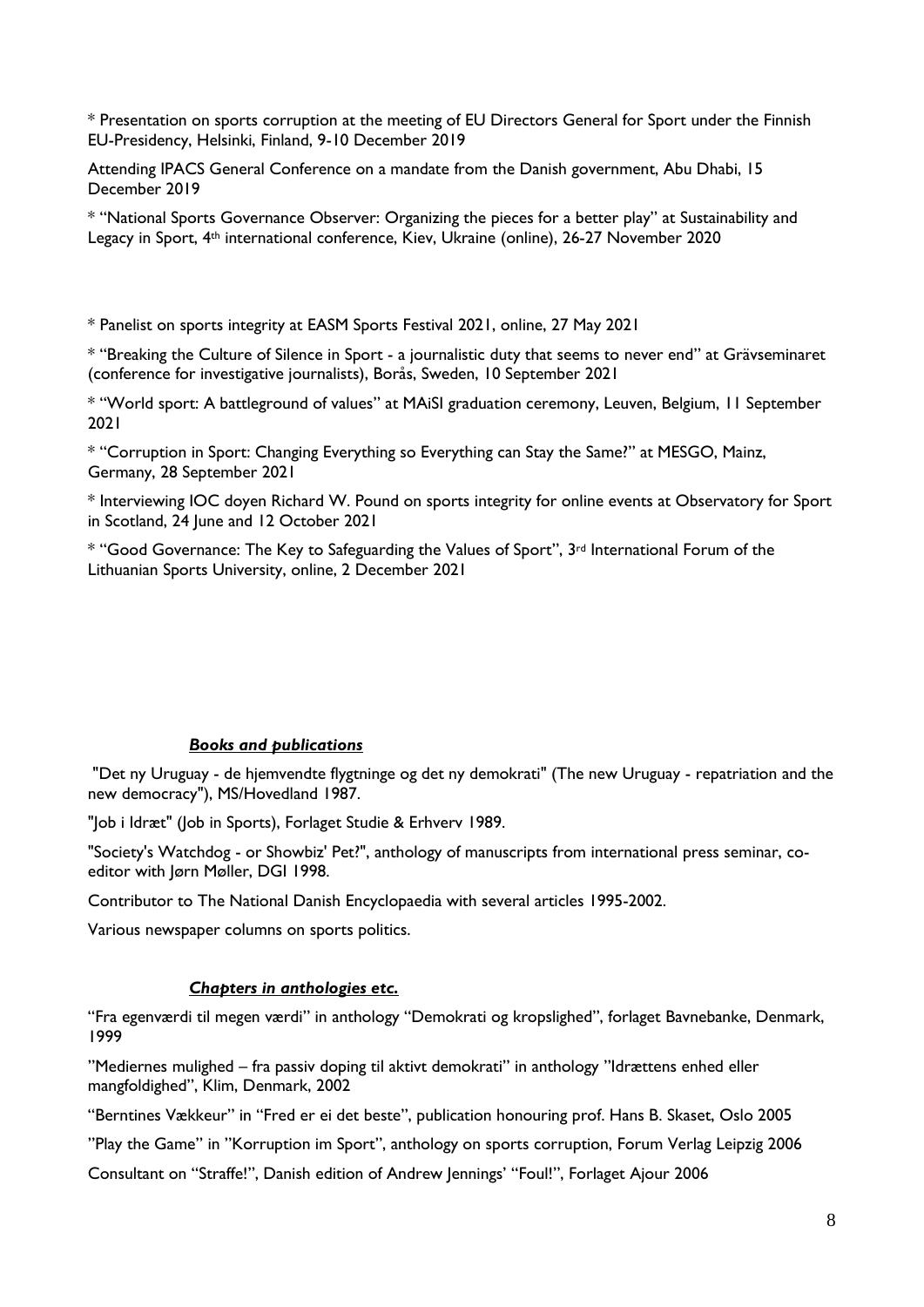\* Presentation on sports corruption at the meeting of EU Directors General for Sport under the Finnish EU-Presidency, Helsinki, Finland, 9-10 December 2019

Attending IPACS General Conference on a mandate from the Danish government, Abu Dhabi, 15 December 2019

\* "National Sports Governance Observer: Organizing the pieces for a better play" at Sustainability and Legacy in Sport, 4th international conference, Kiev, Ukraine (online), 26-27 November 2020

\* Panelist on sports integrity at EASM Sports Festival 2021, online, 27 May 2021

\* "Breaking the Culture of Silence in Sport - a journalistic duty that seems to never end" at Grävseminaret (conference for investigative journalists), Borås, Sweden, 10 September 2021

\* "World sport: A battleground of values" at MAiSI graduation ceremony, Leuven, Belgium, 11 September 2021

\* "Corruption in Sport: Changing Everything so Everything can Stay the Same?" at MESGO, Mainz, Germany, 28 September 2021

\* Interviewing IOC doyen Richard W. Pound on sports integrity for online events at Observatory for Sport in Scotland, 24 June and 12 October 2021

\* "Good Governance: The Key to Safeguarding the Values of Sport", 3rd International Forum of the Lithuanian Sports University, online, 2 December 2021

#### *Books and publications*

"Det ny Uruguay - de hjemvendte flygtninge og det ny demokrati" (The new Uruguay - repatriation and the new democracy"), MS/Hovedland 1987.

"Job i Idræt" (Job in Sports), Forlaget Studie & Erhverv 1989.

"Society's Watchdog - or Showbiz' Pet?", anthology of manuscripts from international press seminar, coeditor with Jørn Møller, DGI 1998.

Contributor to The National Danish Encyclopaedia with several articles 1995-2002.

Various newspaper columns on sports politics.

#### *Chapters in anthologies etc.*

"Fra egenværdi til megen værdi" in anthology "Demokrati og kropslighed", forlaget Bavnebanke, Denmark, 1999

"Mediernes mulighed – fra passiv doping til aktivt demokrati" in anthology "Idrættens enhed eller mangfoldighed", Klim, Denmark, 2002

"Berntines Vækkeur" in "Fred er ei det beste", publication honouring prof. Hans B. Skaset, Oslo 2005

"Play the Game" in "Korruption im Sport", anthology on sports corruption, Forum Verlag Leipzig 2006

Consultant on "Straffe!", Danish edition of Andrew Jennings' "Foul!", Forlaget Ajour 2006